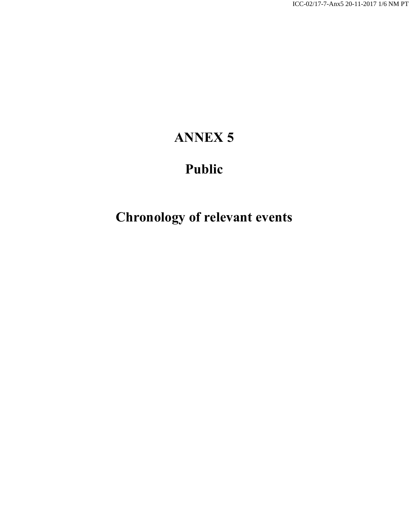## **ANNEX 5**

## **Public**

## **Chronology of relevant events**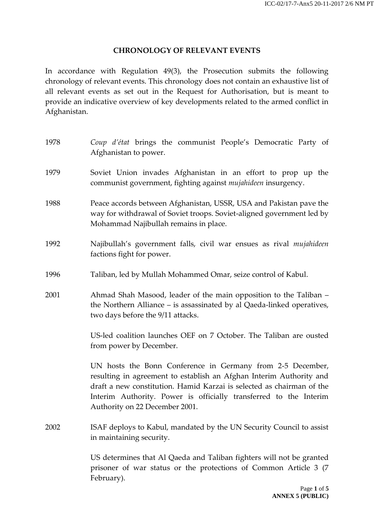## **CHRONOLOGY OF RELEVANT EVENTS**

In accordance with Regulation 49(3), the Prosecution submits the following chronology of relevant events. This chronology does not contain an exhaustive list of all relevant events as set out in the Request for Authorisation, but is meant to provide an indicative overview of key developments related to the armed conflict in Afghanistan.

| 1978 | Coup d'état brings the communist People's Democratic Party of<br>Afghanistan to power.                                                                                                                                                                                                                            |
|------|-------------------------------------------------------------------------------------------------------------------------------------------------------------------------------------------------------------------------------------------------------------------------------------------------------------------|
| 1979 | Soviet Union invades Afghanistan in an effort to prop up the<br>communist government, fighting against mujahideen insurgency.                                                                                                                                                                                     |
| 1988 | Peace accords between Afghanistan, USSR, USA and Pakistan pave the<br>way for withdrawal of Soviet troops. Soviet-aligned government led by<br>Mohammad Najibullah remains in place.                                                                                                                              |
| 1992 | Najibullah's government falls, civil war ensues as rival mujahideen<br>factions fight for power.                                                                                                                                                                                                                  |
| 1996 | Taliban, led by Mullah Mohammed Omar, seize control of Kabul.                                                                                                                                                                                                                                                     |
| 2001 | Ahmad Shah Masood, leader of the main opposition to the Taliban -<br>the Northern Alliance – is assassinated by al Qaeda-linked operatives,<br>two days before the 9/11 attacks.                                                                                                                                  |
|      | US-led coalition launches OEF on 7 October. The Taliban are ousted<br>from power by December.                                                                                                                                                                                                                     |
|      | UN hosts the Bonn Conference in Germany from 2-5 December,<br>resulting in agreement to establish an Afghan Interim Authority and<br>draft a new constitution. Hamid Karzai is selected as chairman of the<br>Interim Authority. Power is officially transferred to the Interim<br>Authority on 22 December 2001. |
| 2002 | ISAF deploys to Kabul, mandated by the UN Security Council to assist<br>in maintaining security.                                                                                                                                                                                                                  |
|      | US determines that Al Qaeda and Taliban fighters will not be granted<br>prisoner of war status or the protections of Common Article 3 (7<br>February).                                                                                                                                                            |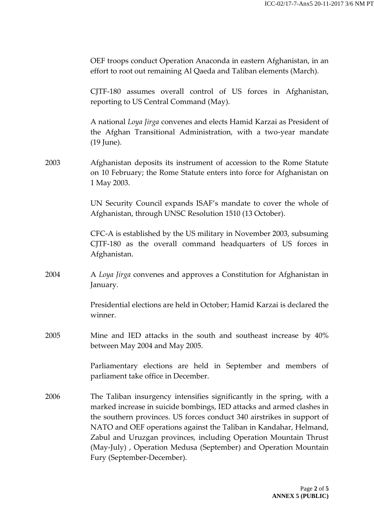|      | OEF troops conduct Operation Anaconda in eastern Afghanistan, in an<br>effort to root out remaining Al Qaeda and Taliban elements (March).                                                                                                                                                                                                                                                                                                                          |
|------|---------------------------------------------------------------------------------------------------------------------------------------------------------------------------------------------------------------------------------------------------------------------------------------------------------------------------------------------------------------------------------------------------------------------------------------------------------------------|
|      | CJTF-180 assumes overall control of US forces in Afghanistan,<br>reporting to US Central Command (May).                                                                                                                                                                                                                                                                                                                                                             |
|      | A national Loya Jirga convenes and elects Hamid Karzai as President of<br>the Afghan Transitional Administration, with a two-year mandate<br>(19 June).                                                                                                                                                                                                                                                                                                             |
| 2003 | Afghanistan deposits its instrument of accession to the Rome Statute<br>on 10 February; the Rome Statute enters into force for Afghanistan on<br>1 May 2003.                                                                                                                                                                                                                                                                                                        |
|      | UN Security Council expands ISAF's mandate to cover the whole of<br>Afghanistan, through UNSC Resolution 1510 (13 October).                                                                                                                                                                                                                                                                                                                                         |
|      | CFC-A is established by the US military in November 2003, subsuming<br>CJTF-180 as the overall command headquarters of US forces in<br>Afghanistan.                                                                                                                                                                                                                                                                                                                 |
| 2004 | A Loya Jirga convenes and approves a Constitution for Afghanistan in<br>January.                                                                                                                                                                                                                                                                                                                                                                                    |
|      | Presidential elections are held in October; Hamid Karzai is declared the<br>winner.                                                                                                                                                                                                                                                                                                                                                                                 |
| 2005 | Mine and IED attacks in the south and southeast increase by 40%<br>between May 2004 and May 2005.                                                                                                                                                                                                                                                                                                                                                                   |
|      | Parliamentary elections are held in September and members of<br>parliament take office in December.                                                                                                                                                                                                                                                                                                                                                                 |
| 2006 | The Taliban insurgency intensifies significantly in the spring, with a<br>marked increase in suicide bombings, IED attacks and armed clashes in<br>the southern provinces. US forces conduct 340 airstrikes in support of<br>NATO and OEF operations against the Taliban in Kandahar, Helmand,<br>Zabul and Uruzgan provinces, including Operation Mountain Thrust<br>(May-July), Operation Medusa (September) and Operation Mountain<br>Fury (September-December). |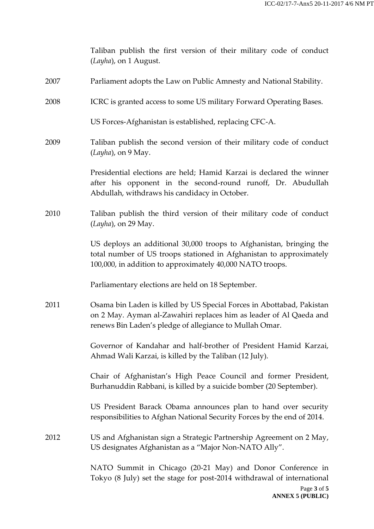|      | Taliban publish the first version of their military code of conduct<br>(Layha), on 1 August.                                                                                                            |
|------|---------------------------------------------------------------------------------------------------------------------------------------------------------------------------------------------------------|
| 2007 | Parliament adopts the Law on Public Amnesty and National Stability.                                                                                                                                     |
| 2008 | ICRC is granted access to some US military Forward Operating Bases.                                                                                                                                     |
|      | US Forces-Afghanistan is established, replacing CFC-A.                                                                                                                                                  |
| 2009 | Taliban publish the second version of their military code of conduct<br>(Layha), on 9 May.                                                                                                              |
|      | Presidential elections are held; Hamid Karzai is declared the winner<br>after his opponent in the second-round runoff, Dr. Abudullah<br>Abdullah, withdraws his candidacy in October.                   |
| 2010 | Taliban publish the third version of their military code of conduct<br>(Layha), on 29 May.                                                                                                              |
|      | US deploys an additional 30,000 troops to Afghanistan, bringing the<br>total number of US troops stationed in Afghanistan to approximately<br>100,000, in addition to approximately 40,000 NATO troops. |
|      | Parliamentary elections are held on 18 September.                                                                                                                                                       |
| 2011 | Osama bin Laden is killed by US Special Forces in Abottabad, Pakistan<br>on 2 May. Ayman al-Zawahiri replaces him as leader of Al Qaeda and<br>renews Bin Laden's pledge of allegiance to Mullah Omar.  |
|      | Governor of Kandahar and half-brother of President Hamid Karzai,<br>Ahmad Wali Karzai, is killed by the Taliban (12 July).                                                                              |
|      | Chair of Afghanistan's High Peace Council and former President,<br>Burhanuddin Rabbani, is killed by a suicide bomber (20 September).                                                                   |
|      | US President Barack Obama announces plan to hand over security<br>responsibilities to Afghan National Security Forces by the end of 2014.                                                               |
| 2012 | US and Afghanistan sign a Strategic Partnership Agreement on 2 May,<br>US designates Afghanistan as a "Major Non-NATO Ally".                                                                            |
|      | NATO Summit in Chicago (20-21 May) and Donor Conference in<br>Tokyo (8 July) set the stage for post-2014 withdrawal of international                                                                    |
|      | Page 3 of 5<br><b>ANNEX 5 (PUBLIC)</b>                                                                                                                                                                  |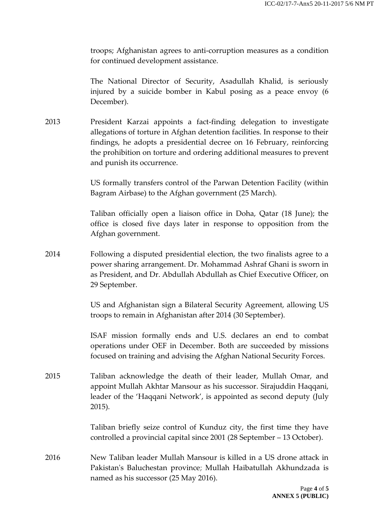troops; Afghanistan agrees to anti-corruption measures as a condition for continued development assistance.

The National Director of Security, Asadullah Khalid, is seriously injured by a suicide bomber in Kabul posing as a peace envoy (6 December).

2013 President Karzai appoints a fact-finding delegation to investigate allegations of torture in Afghan detention facilities. In response to their findings, he adopts a presidential decree on 16 February, reinforcing the prohibition on torture and ordering additional measures to prevent and punish its occurrence.

> US formally transfers control of the Parwan Detention Facility (within Bagram Airbase) to the Afghan government (25 March).

> Taliban officially open a liaison office in Doha, Qatar (18 June); the office is closed five days later in response to opposition from the Afghan government.

2014 Following a disputed presidential election, the two finalists agree to a power sharing arrangement. Dr. Mohammad Ashraf Ghani is sworn in as President, and Dr. Abdullah Abdullah as Chief Executive Officer, on 29 September.

> US and Afghanistan sign a Bilateral Security Agreement, allowing US troops to remain in Afghanistan after 2014 (30 September).

> ISAF mission formally ends and U.S. declares an end to combat operations under OEF in December. Both are succeeded by missions focused on training and advising the Afghan National Security Forces.

2015 Taliban acknowledge the death of their leader, Mullah Omar, and appoint Mullah Akhtar Mansour as his successor. Sirajuddin Haqqani, leader of the 'Haqqani Network', is appointed as second deputy (July 2015).

> Taliban briefly seize control of Kunduz city, the first time they have controlled a provincial capital since 2001 (28 September – 13 October).

2016 New Taliban leader Mullah Mansour is killed in a US drone attack in Pakistan's Baluchestan province; Mullah Haibatullah Akhundzada is named as his successor (25 May 2016).